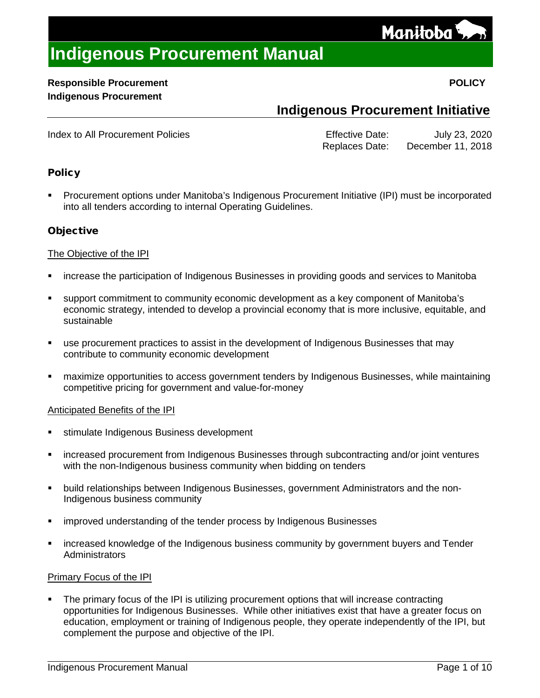

## **Responsible Procurement POLICY Indigenous Procurement**

## **Indigenous Procurement Initiative**

<span id="page-0-0"></span>Index to All Procurement Policies **Example 2018** Effective Date: July 23, 2020 Replaces Date: December 11, 2018

## **Policy**

 Procurement options under Manitoba's Indigenous Procurement Initiative (IPI) must be incorporated into all tenders according to internal Operating Guidelines.

## **Objective**

## The Objective of the IPI

- increase the participation of Indigenous Businesses in providing goods and services to Manitoba
- support commitment to community economic development as a key component of Manitoba's economic strategy, intended to develop a provincial economy that is more inclusive, equitable, and sustainable
- use procurement practices to assist in the development of Indigenous Businesses that may contribute to community economic development
- maximize opportunities to access government tenders by Indigenous Businesses, while maintaining competitive pricing for government and value-for-money

## Anticipated Benefits of the IPI

- stimulate Indigenous Business development
- increased procurement from Indigenous Businesses through subcontracting and/or joint ventures with the non-Indigenous business community when bidding on tenders
- build relationships between Indigenous Businesses, government Administrators and the non-Indigenous business community
- improved understanding of the tender process by Indigenous Businesses
- increased knowledge of the Indigenous business community by government buyers and Tender **Administrators**

## Primary Focus of the IPI

 The primary focus of the IPI is utilizing procurement options that will increase contracting opportunities for Indigenous Businesses. While other initiatives exist that have a greater focus on education, employment or training of Indigenous people, they operate independently of the IPI, but complement the purpose and objective of the IPI.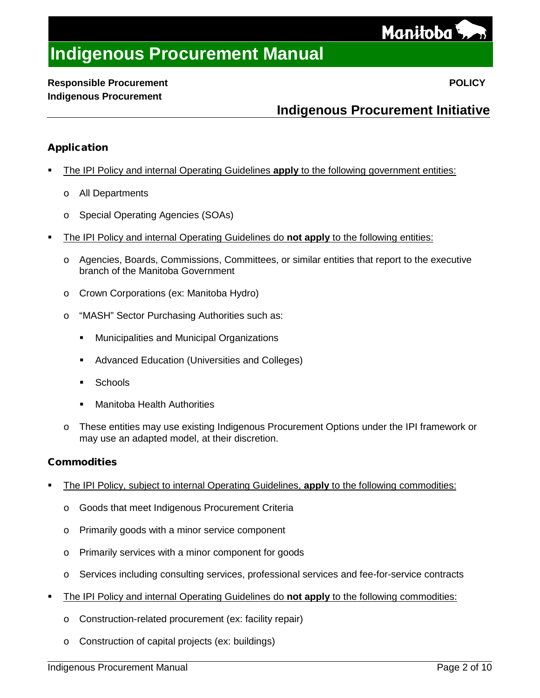

## **Responsible Procurement POLICY Indigenous Procurement**

## **Indigenous Procurement Initiative**

## Application

- The IPI Policy and internal Operating Guidelines **apply** to the following government entities:
	- o All Departments
	- o Special Operating Agencies (SOAs)
- The IPI Policy and internal Operating Guidelines do **not apply** to the following entities:
	- o Agencies, Boards, Commissions, Committees, or similar entities that report to the executive branch of the Manitoba Government
	- o Crown Corporations (ex: Manitoba Hydro)
	- o "MASH" Sector Purchasing Authorities such as:
		- **Municipalities and Municipal Organizations**
		- **Advanced Education (Universities and Colleges)**
		- **Schools**
		- Manitoba Health Authorities
	- o These entities may use existing Indigenous Procurement Options under the IPI framework or may use an adapted model, at their discretion.

## **Commodities**

- The IPI Policy, subject to internal Operating Guidelines, **apply** to the following commodities:
	- o Goods that meet Indigenous Procurement Criteria
	- o Primarily goods with a minor service component
	- o Primarily services with a minor component for goods
	- o Services including consulting services, professional services and fee-for-service contracts
- The IPI Policy and internal Operating Guidelines do **not apply** to the following commodities:
	- o Construction-related procurement (ex: facility repair)
	- o Construction of capital projects (ex: buildings)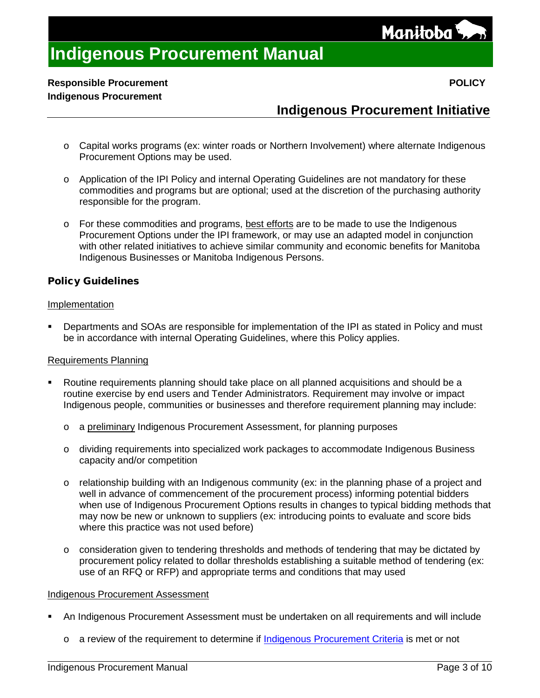

## **Responsible Procurement POLICY Indigenous Procurement**

## **Indigenous Procurement Initiative**

- o Capital works programs (ex: winter roads or Northern Involvement) where alternate Indigenous Procurement Options may be used.
- o Application of the IPI Policy and internal Operating Guidelines are not mandatory for these commodities and programs but are optional; used at the discretion of the purchasing authority responsible for the program.
- o For these commodities and programs, best efforts are to be made to use the Indigenous Procurement Options under the IPI framework, or may use an adapted model in conjunction with other related initiatives to achieve similar community and economic benefits for Manitoba Indigenous Businesses or Manitoba Indigenous Persons.

## Policy Guidelines

#### Implementation

 Departments and SOAs are responsible for implementation of the IPI as stated in Policy and must be in accordance with internal Operating Guidelines, where this Policy applies.

#### Requirements Planning

- Routine requirements planning should take place on all planned acquisitions and should be a routine exercise by end users and Tender Administrators. Requirement may involve or impact Indigenous people, communities or businesses and therefore requirement planning may include:
	- o a preliminary Indigenous Procurement Assessment, for planning purposes
	- o dividing requirements into specialized work packages to accommodate Indigenous Business capacity and/or competition
	- o relationship building with an Indigenous community (ex: in the planning phase of a project and well in advance of commencement of the procurement process) informing potential bidders when use of Indigenous Procurement Options results in changes to typical bidding methods that may now be new or unknown to suppliers (ex: introducing points to evaluate and score bids where this practice was not used before)
	- $\circ$  consideration given to tendering thresholds and methods of tendering that may be dictated by procurement policy related to dollar thresholds establishing a suitable method of tendering (ex: use of an RFQ or RFP) and appropriate terms and conditions that may used

#### Indigenous Procurement Assessment

- An Indigenous Procurement Assessment must be undertaken on all requirements and will include
	- o a review of the requirement to determine if Indigenous [Procurement Criteria](#page-4-0) is met or not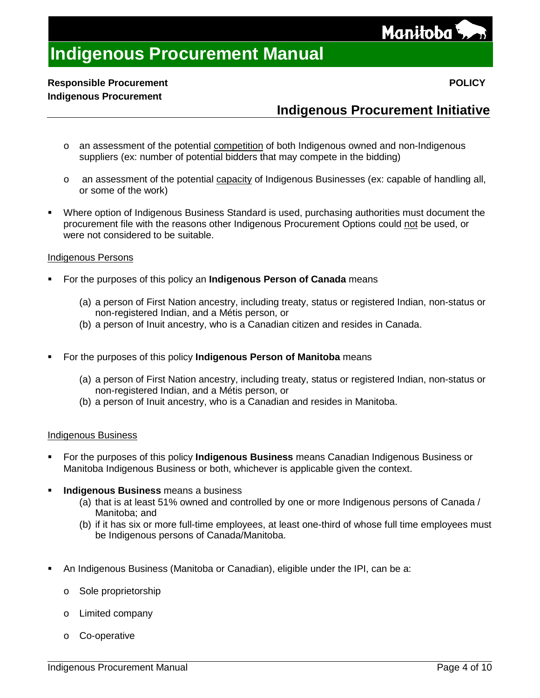

## **Responsible Procurement POLICY Indigenous Procurement**

## **Indigenous Procurement Initiative**

- o an assessment of the potential competition of both Indigenous owned and non-Indigenous suppliers (ex: number of potential bidders that may compete in the bidding)
- o an assessment of the potential capacity of Indigenous Businesses (ex: capable of handling all, or some of the work)
- Where option of Indigenous Business Standard is used, purchasing authorities must document the procurement file with the reasons other Indigenous Procurement Options could not be used, or were not considered to be suitable.

## Indigenous Persons

- For the purposes of this policy an **Indigenous Person of Canada** means
	- (a) a person of First Nation ancestry, including treaty, status or registered Indian, non-status or non-registered Indian, and a Métis person, or
	- (b) a person of Inuit ancestry, who is a Canadian citizen and resides in Canada.
- For the purposes of this policy **Indigenous Person of Manitoba** means
	- (a) a person of First Nation ancestry, including treaty, status or registered Indian, non-status or non-registered Indian, and a Métis person, or
	- (b) a person of Inuit ancestry, who is a Canadian and resides in Manitoba.

#### Indigenous Business

- For the purposes of this policy **Indigenous Business** means Canadian Indigenous Business or Manitoba Indigenous Business or both, whichever is applicable given the context.
- **Indigenous Business** means a business
	- (a) that is at least 51% owned and controlled by one or more Indigenous persons of Canada / Manitoba; and
	- (b) if it has six or more full-time employees, at least one-third of whose full time employees must be Indigenous persons of Canada/Manitoba.
- An Indigenous Business (Manitoba or Canadian), eligible under the IPI, can be a:
	- o Sole proprietorship
	- o Limited company
	- o Co-operative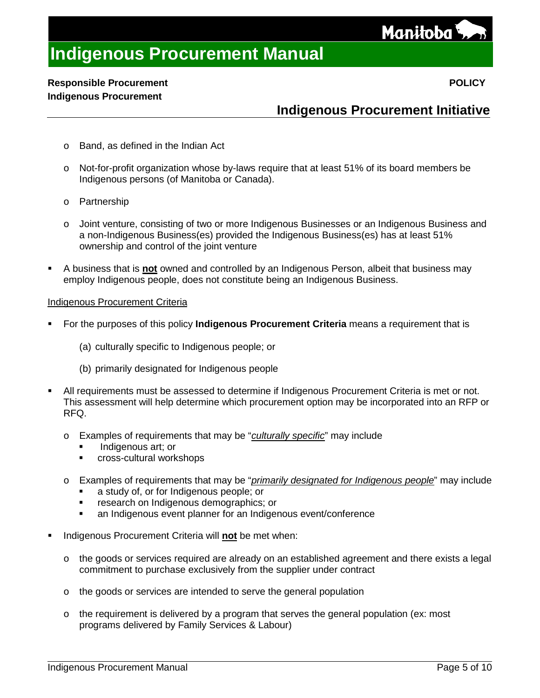Manitoba<sup>{</sup>

# **Indigenous Procurement Manual**

## **Responsible Procurement POLICY Indigenous Procurement**

## **Indigenous Procurement Initiative**

- o Band, as defined in the Indian Act
- o Not-for-profit organization whose by-laws require that at least 51% of its board members be Indigenous persons (of Manitoba or Canada).
- o Partnership
- o Joint venture, consisting of two or more Indigenous Businesses or an Indigenous Business and a non-Indigenous Business(es) provided the Indigenous Business(es) has at least 51% ownership and control of the joint venture
- A business that is **not** owned and controlled by an Indigenous Person, albeit that business may employ Indigenous people, does not constitute being an Indigenous Business.

#### <span id="page-4-0"></span>Indigenous Procurement Criteria

- For the purposes of this policy **Indigenous Procurement Criteria** means a requirement that is
	- (a) culturally specific to Indigenous people; or
	- (b) primarily designated for Indigenous people
- All requirements must be assessed to determine if Indigenous Procurement Criteria is met or not. This assessment will help determine which procurement option may be incorporated into an RFP or RFQ.
	- o Examples of requirements that may be "*culturally specific*" may include
		- Indigenous art; or
		- **Cross-cultural workshops**
	- o Examples of requirements that may be "*primarily designated for Indigenous people*" may include
		- a study of, or for Indigenous people; or
		- **Fig. 2** research on Indigenous demographics; or
		- an Indigenous event planner for an Indigenous event/conference
- Indigenous Procurement Criteria will **not** be met when:
	- $\circ$  the goods or services required are already on an established agreement and there exists a legal commitment to purchase exclusively from the supplier under contract
	- o the goods or services are intended to serve the general population
	- $\circ$  the requirement is delivered by a program that serves the general population (ex: most programs delivered by Family Services & Labour)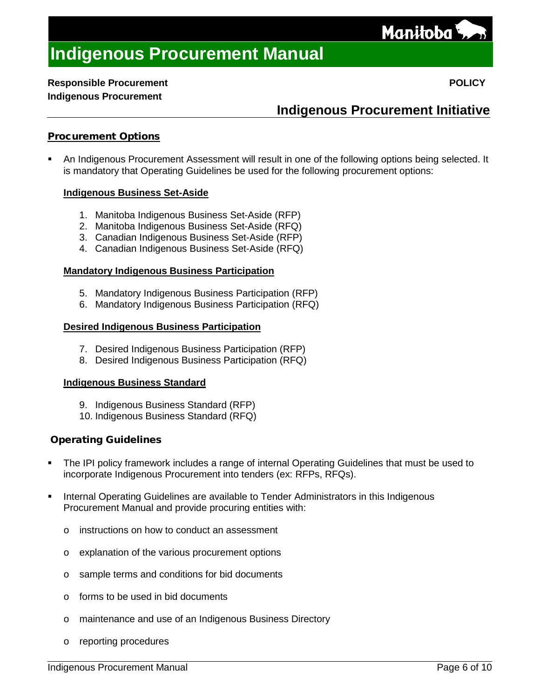

## **Responsible Procurement POLICY Indigenous Procurement**

## **Indigenous Procurement Initiative**

## Procurement Options

 An Indigenous Procurement Assessment will result in one of the following options being selected. It is mandatory that Operating Guidelines be used for the following procurement options:

## **Indigenous Business Set-Aside**

- 1. Manitoba Indigenous Business Set-Aside (RFP)
- 2. Manitoba Indigenous Business Set-Aside (RFQ)
- 3. Canadian Indigenous Business Set-Aside (RFP)
- 4. Canadian Indigenous Business Set-Aside (RFQ)

#### **Mandatory Indigenous Business Participation**

- 5. Mandatory Indigenous Business Participation (RFP)
- 6. Mandatory Indigenous Business Participation (RFQ)

#### **Desired Indigenous Business Participation**

- 7. Desired Indigenous Business Participation (RFP)
- 8. Desired Indigenous Business Participation (RFQ)

## **Indigenous Business Standard**

- 9. Indigenous Business Standard (RFP)
- 10. Indigenous Business Standard (RFQ)

## Operating Guidelines

- The IPI policy framework includes a range of internal Operating Guidelines that must be used to incorporate Indigenous Procurement into tenders (ex: RFPs, RFQs).
- Internal Operating Guidelines are available to Tender Administrators in this Indigenous Procurement Manual and provide procuring entities with:
	- o instructions on how to conduct an assessment
	- o explanation of the various procurement options
	- o sample terms and conditions for bid documents
	- o forms to be used in bid documents
	- o maintenance and use of an Indigenous Business Directory
	- o reporting procedures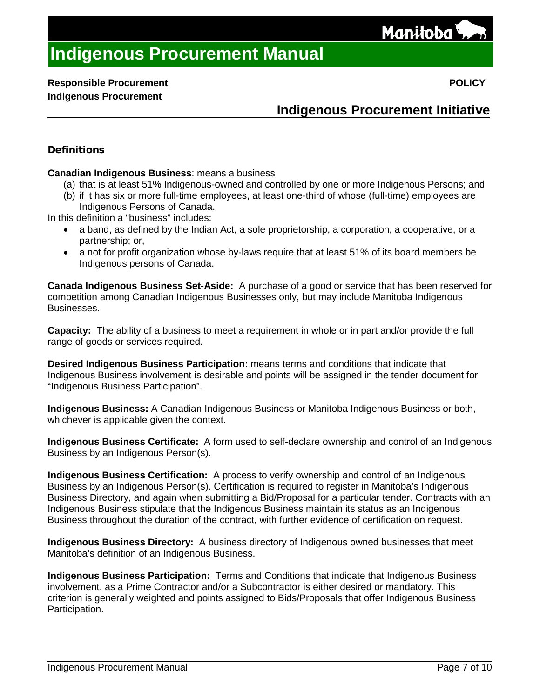Manitoba<sup>{</sup>

## **Indigenous Procurement Initiative**

## **Definitions**

**Canadian Indigenous Business**: means a business

- (a) that is at least 51% Indigenous-owned and controlled by one or more Indigenous Persons; and
- (b) if it has six or more full-time employees, at least one-third of whose (full-time) employees are Indigenous Persons of Canada.

In this definition a "business" includes:

- a band, as defined by the Indian Act, a sole proprietorship, a corporation, a cooperative, or a partnership; or,
- a not for profit organization whose by-laws require that at least 51% of its board members be Indigenous persons of Canada.

**Canada [Indigenous Business Set-Aside:](file://ME/gsv/117gsvWGP/Gsvpur/WordShare/Policy/Policy%20Manuals%20Development/Policy%20Manuals%20Development/Drafts/Policy%20Guidelines/Tendering/CED/Aboriginal%20Procurement/8%20Set-Asides%20V3.4.doc)** A purchase of a good or service that has been reserved for competition among Canadian Indigenous Businesses only, but may include Manitoba Indigenous Businesses.

**Capacity:** The ability of a business to meet a requirement in whole or in part and/or provide the full range of goods or services required.

**Desired Indigenous Business Participation:** means terms and conditions that indicate that Indigenous Business involvement is desirable and points will be assigned in the tender document for "Indigenous Business Participation".

**Indigenous Business:** A Canadian Indigenous Business or Manitoba Indigenous Business or both, whichever is applicable given the context.

**Indigenous Business Certificate:** A form used to self-declare ownership and control of an Indigenous Business by an Indigenous Person(s).

**Indigenous Business Certification:** A process to verify ownership and control of an Indigenous Business by an Indigenous Person(s). Certification is required to register in Manitoba's Indigenous Business Directory, and again when submitting a Bid/Proposal for a particular tender. Contracts with an Indigenous Business stipulate that the Indigenous Business maintain its status as an Indigenous Business throughout the duration of the contract, with further evidence of certification on request.

**Indigenous Business Directory:** A business directory of Indigenous owned businesses that meet Manitoba's definition of an Indigenous Business.

**Indigenous Business Participation:** Terms and Conditions that indicate that Indigenous Business involvement, as a Prime Contractor and/or a Subcontractor is either desired or mandatory. This criterion is generally weighted and points assigned to Bids/Proposals that offer Indigenous Business Participation.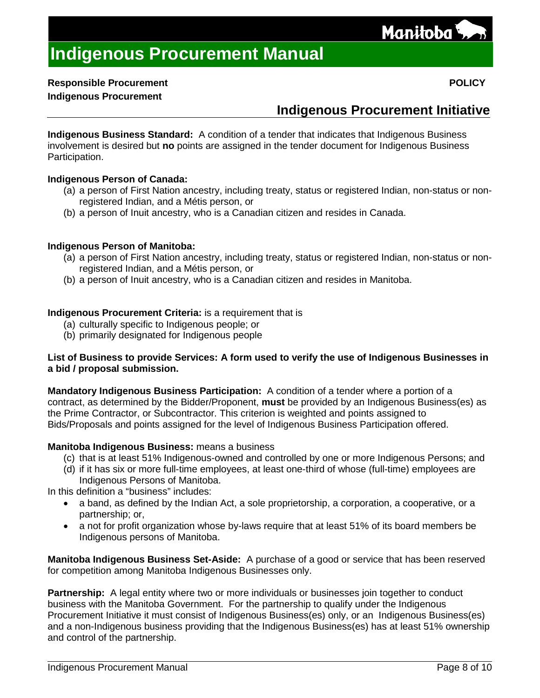

## **Responsible Procurement POLICY**

## **Indigenous Procurement**

## **Indigenous Procurement Initiative**

**Indigenous Business Standard:** A condition of a tender that indicates that Indigenous Business involvement is desired but **no** points are assigned in the tender document for Indigenous Business Participation.

## **Indigenous Person of Canada:**

- (a) a person of First Nation ancestry, including treaty, status or registered Indian, non-status or nonregistered Indian, and a Métis person, or
- (b) a person of Inuit ancestry, who is a Canadian citizen and resides in Canada.

## **Indigenous Person of Manitoba:**

- (a) a person of First Nation ancestry, including treaty, status or registered Indian, non-status or nonregistered Indian, and a Métis person, or
- (b) a person of Inuit ancestry, who is a Canadian citizen and resides in Manitoba.

## **Indigenous Procurement Criteria:** is a requirement that is

- (a) culturally specific to Indigenous people; or
- (b) primarily designated for Indigenous people

## **List of Business to provide Services: A form used to verify the use of Indigenous Businesses in a bid / proposal submission.**

**Mandatory Indigenous Business Participation:** A condition of a tender where a portion of a contract, as determined by the Bidder/Proponent, **must** be provided by an Indigenous Business(es) as the Prime Contractor, or Subcontractor. This criterion is weighted and points assigned to Bids/Proposals and points assigned for the level of Indigenous Business Participation offered.

## **Manitoba Indigenous Business:** means a business

- (c) that is at least 51% Indigenous-owned and controlled by one or more Indigenous Persons; and
- (d) if it has six or more full-time employees, at least one-third of whose (full-time) employees are Indigenous Persons of Manitoba.

In this definition a "business" includes:

- a band, as defined by the Indian Act, a sole proprietorship, a corporation, a cooperative, or a partnership; or,
- a not for profit organization whose by-laws require that at least 51% of its board members be Indigenous persons of Manitoba.

**Manitoba Indigenous [Business Set-Aside:](file://ME/gsv/117gsvWGP/Gsvpur/WordShare/Policy/Policy%20Manuals%20Development/Policy%20Manuals%20Development/Drafts/Policy%20Guidelines/Tendering/CED/Aboriginal%20Procurement/8%20Set-Asides%20V3.4.doc)** A purchase of a good or service that has been reserved for competition among Manitoba Indigenous Businesses only.

**Partnership:** A legal entity where two or more individuals or businesses join together to conduct business with the Manitoba Government. For the partnership to qualify under the Indigenous Procurement Initiative it must consist of Indigenous Business(es) only, or an Indigenous Business(es) and a non-Indigenous business providing that the Indigenous Business(es) has at least 51% ownership and control of the partnership.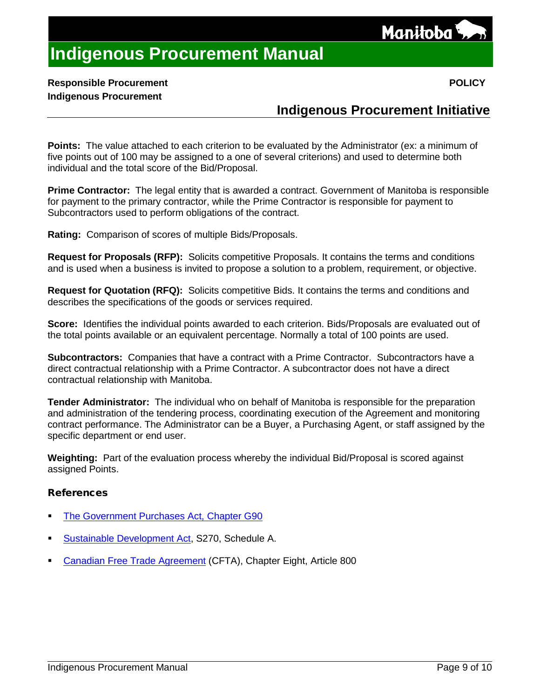

## **Responsible Procurement POLICY Indigenous Procurement**

## **Indigenous Procurement Initiative**

**Points:** The value attached to each criterion to be evaluated by the Administrator (ex: a minimum of five points out of 100 may be assigned to a one of several criterions) and used to determine both individual and the total score of the Bid/Proposal.

**Prime Contractor:** The legal entity that is awarded a contract. Government of Manitoba is responsible for payment to the primary contractor, while the Prime Contractor is responsible for payment to Subcontractors used to perform obligations of the contract.

**Rating:** Comparison of scores of multiple Bids/Proposals.

**Request for Proposals (RFP):** Solicits competitive Proposals. It contains the terms and conditions and is used when a business is invited to propose a solution to a problem, requirement, or objective.

**Request for Quotation (RFQ):** Solicits competitive Bids. It contains the terms and conditions and describes the specifications of the goods or services required.

**Score:** Identifies the individual points awarded to each criterion. Bids/Proposals are evaluated out of the total points available or an equivalent percentage. Normally a total of 100 points are used.

**Subcontractors:** Companies that have a contract with a Prime Contractor. Subcontractors have a direct contractual relationship with a Prime Contractor. A subcontractor does not have a direct contractual relationship with Manitoba.

**Tender Administrator:** The individual who on behalf of Manitoba is responsible for the preparation and administration of the tendering process, coordinating execution of the Agreement and monitoring contract performance. The Administrator can be a Buyer, a Purchasing Agent, or staff assigned by the specific department or end user.

**Weighting:** Part of the evaluation process whereby the individual Bid/Proposal is scored against assigned Points.

## References

- [The Government Purchases Act, Chapter G90](http://web2.gov.mb.ca/laws/statutes/ccsm/g090e.php)
- [Sustainable Development Act,](http://web2.gov.mb.ca/laws/statutes/ccsm/s270e.php) S270, Schedule A.
- [Canadian Free Trade Agreement](https://www.cfta-alec.ca/wp-content/uploads/2017/06/CFTA-Consolidated-Text-Final-Print-Text-English.pdf) (CFTA), Chapter Eight, Article 800